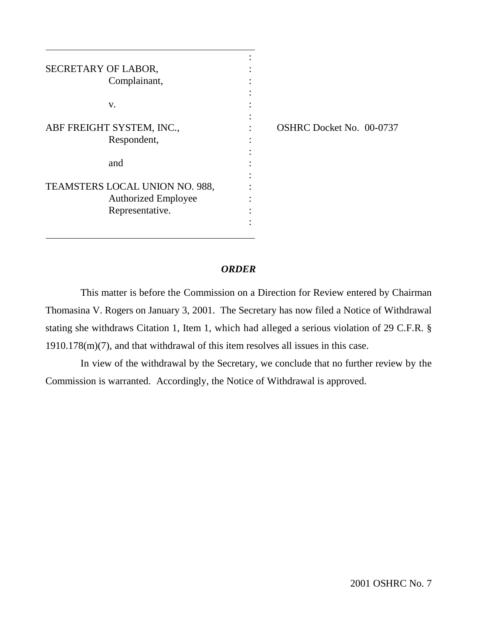| SECRETARY OF LABOR,<br>Complainant,      |  |
|------------------------------------------|--|
| v.                                       |  |
| ABF FREIGHT SYSTEM, INC.,<br>Respondent, |  |
| and                                      |  |
| TEAMSTERS LOCAL UNION NO. 988,           |  |
| <b>Authorized Employee</b>               |  |
| Representative.                          |  |

 $\overline{\phantom{a}}$ 

 $\overline{\phantom{a}}$ 

OSHRC Docket No. 00-0737

## *ORDER*

This matter is before the Commission on a Direction for Review entered by Chairman Thomasina V. Rogers on January 3, 2001. The Secretary has now filed a Notice of Withdrawal stating she withdraws Citation 1, Item 1, which had alleged a serious violation of 29 C.F.R. § 1910.178(m)(7), and that withdrawal of this item resolves all issues in this case.

In view of the withdrawal by the Secretary, we conclude that no further review by the Commission is warranted. Accordingly, the Notice of Withdrawal is approved.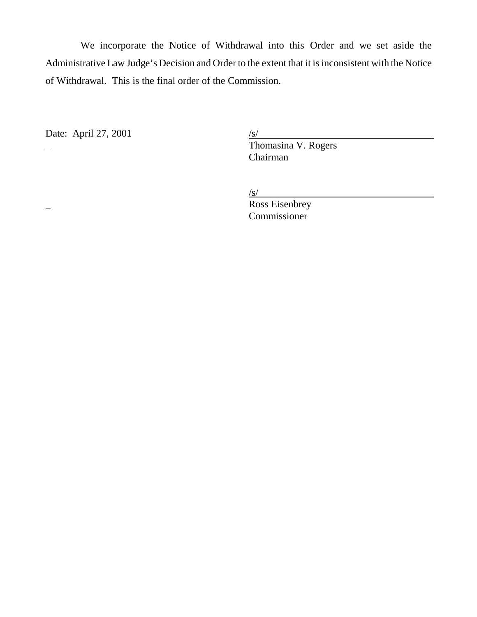We incorporate the Notice of Withdrawal into this Order and we set aside the Administrative Law Judge's Decision and Order to the extent that it is inconsistent with the Notice of Withdrawal. This is the final order of the Commission.

Date: April 27, 2001

Date: April 27, 2001<br>  $\frac{1}{s}$ <br>
Thomasina V. Rogers Chairman

 $/s/$ 

**Ross Eisenbrey** Commissioner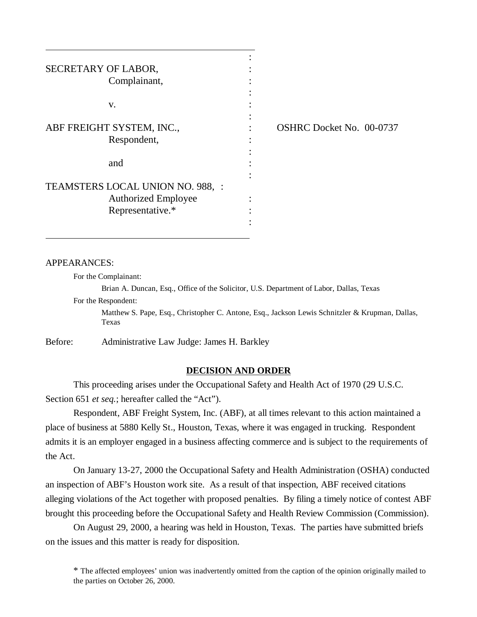| SECRETARY OF LABOR,<br>Complainant,                                                |                                 |
|------------------------------------------------------------------------------------|---------------------------------|
| V.                                                                                 |                                 |
| ABF FREIGHT SYSTEM, INC.,<br>Respondent,<br>and                                    | <b>OSHRC Docket No. 00-0737</b> |
| TEAMSTERS LOCAL UNION NO. 988, :<br><b>Authorized Employee</b><br>Representative.* |                                 |

### APPEARANCES:

 $\overline{\phantom{a}}$ 

For the Complainant:

Brian A. Duncan, Esq., Office of the Solicitor, U.S. Department of Labor, Dallas, Texas

For the Respondent:

Matthew S. Pape, Esq., Christopher C. Antone, Esq., Jackson Lewis Schnitzler & Krupman, Dallas, Texas

Before: Administrative Law Judge: James H. Barkley

### **DECISION AND ORDER**

This proceeding arises under the Occupational Safety and Health Act of 1970 (29 U.S.C. Section 651 *et seq.*; hereafter called the "Act").

Respondent, ABF Freight System, Inc. (ABF), at all times relevant to this action maintained a place of business at 5880 Kelly St., Houston, Texas, where it was engaged in trucking. Respondent admits it is an employer engaged in a business affecting commerce and is subject to the requirements of the Act.

On January 13-27, 2000 the Occupational Safety and Health Administration (OSHA) conducted an inspection of ABF's Houston work site. As a result of that inspection, ABF received citations alleging violations of the Act together with proposed penalties. By filing a timely notice of contest ABF brought this proceeding before the Occupational Safety and Health Review Commission (Commission).

On August 29, 2000, a hearing was held in Houston, Texas. The parties have submitted briefs on the issues and this matter is ready for disposition.

\* The affected employees' union was inadvertently omitted from the caption of the opinion originally mailed to the parties on October 26, 2000.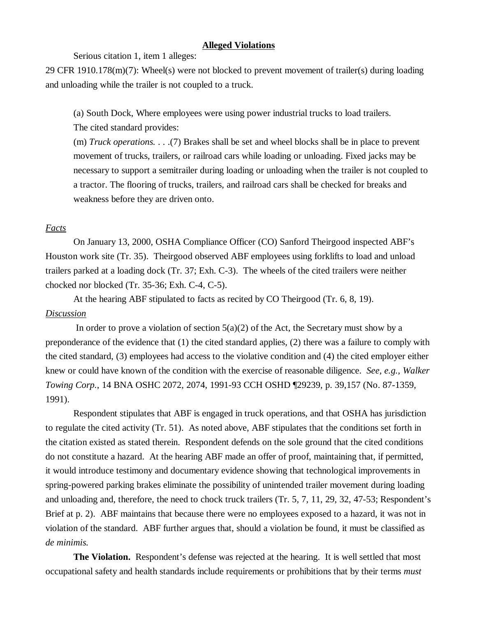## **Alleged Violations**

Serious citation 1, item 1 alleges:

29 CFR 1910.178(m)(7): Wheel(s) were not blocked to prevent movement of trailer(s) during loading and unloading while the trailer is not coupled to a truck.

(a) South Dock, Where employees were using power industrial trucks to load trailers.

The cited standard provides:

(m) *Truck operations.* . . .(7) Brakes shall be set and wheel blocks shall be in place to prevent movement of trucks, trailers, or railroad cars while loading or unloading. Fixed jacks may be necessary to support a semitrailer during loading or unloading when the trailer is not coupled to a tractor. The flooring of trucks, trailers, and railroad cars shall be checked for breaks and weakness before they are driven onto.

# *Facts*

On January 13, 2000, OSHA Compliance Officer (CO) Sanford Theirgood inspected ABF's Houston work site (Tr. 35). Theirgood observed ABF employees using forklifts to load and unload trailers parked at a loading dock (Tr. 37; Exh. C-3). The wheels of the cited trailers were neither chocked nor blocked (Tr. 35-36; Exh. C-4, C-5).

At the hearing ABF stipulated to facts as recited by CO Theirgood (Tr. 6, 8, 19). *Discussion*

In order to prove a violation of section  $5(a)(2)$  of the Act, the Secretary must show by a preponderance of the evidence that (1) the cited standard applies, (2) there was a failure to comply with the cited standard, (3) employees had access to the violative condition and (4) the cited employer either knew or could have known of the condition with the exercise of reasonable diligence. *See, e.g., Walker Towing Corp.*, 14 BNA OSHC 2072, 2074, 1991-93 CCH OSHD ¶29239, p. 39,157 (No. 87-1359, 1991).

Respondent stipulates that ABF is engaged in truck operations, and that OSHA has jurisdiction to regulate the cited activity (Tr. 51). As noted above, ABF stipulates that the conditions set forth in the citation existed as stated therein. Respondent defends on the sole ground that the cited conditions do not constitute a hazard. At the hearing ABF made an offer of proof, maintaining that, if permitted, it would introduce testimony and documentary evidence showing that technological improvements in spring-powered parking brakes eliminate the possibility of unintended trailer movement during loading and unloading and, therefore, the need to chock truck trailers (Tr. 5, 7, 11, 29, 32, 47-53; Respondent's Brief at p. 2). ABF maintains that because there were no employees exposed to a hazard, it was not in violation of the standard. ABF further argues that, should a violation be found, it must be classified as *de minimis.*

**The Violation.** Respondent's defense was rejected at the hearing. It is well settled that most occupational safety and health standards include requirements or prohibitions that by their terms *must*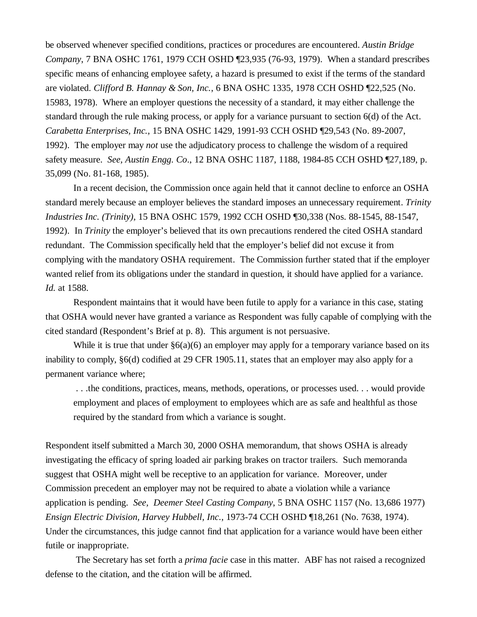be observed whenever specified conditions, practices or procedures are encountered. *Austin Bridge Company*, 7 BNA OSHC 1761, 1979 CCH OSHD ¶23,935 (76-93, 1979). When a standard prescribes specific means of enhancing employee safety, a hazard is presumed to exist if the terms of the standard are violated. *Clifford B. Hannay & Son, Inc.*, 6 BNA OSHC 1335, 1978 CCH OSHD ¶22,525 (No. 15983, 1978). Where an employer questions the necessity of a standard, it may either challenge the standard through the rule making process, or apply for a variance pursuant to section 6(d) of the Act. *Carabetta Enterprises, Inc.,* 15 BNA OSHC 1429, 1991-93 CCH OSHD ¶29,543 (No. 89-2007, 1992). The employer may *not* use the adjudicatory process to challenge the wisdom of a required safety measure. *See, Austin Engg. Co*., 12 BNA OSHC 1187, 1188, 1984-85 CCH OSHD ¶27,189, p. 35,099 (No. 81-168, 1985).

In a recent decision, the Commission once again held that it cannot decline to enforce an OSHA standard merely because an employer believes the standard imposes an unnecessary requirement. *Trinity Industries Inc. (Trinity),* 15 BNA OSHC 1579, 1992 CCH OSHD ¶30,338 (Nos. 88-1545, 88-1547, 1992). In *Trinity* the employer's believed that its own precautions rendered the cited OSHA standard redundant. The Commission specifically held that the employer's belief did not excuse it from complying with the mandatory OSHA requirement. The Commission further stated that if the employer wanted relief from its obligations under the standard in question, it should have applied for a variance. *Id.* at 1588.

Respondent maintains that it would have been futile to apply for a variance in this case, stating that OSHA would never have granted a variance as Respondent was fully capable of complying with the cited standard (Respondent's Brief at p. 8). This argument is not persuasive.

While it is true that under  $\S6(a)(6)$  an employer may apply for a temporary variance based on its inability to comply, §6(d) codified at 29 CFR 1905.11, states that an employer may also apply for a permanent variance where;

 . . .the conditions, practices, means, methods, operations, or processes used. . . would provide employment and places of employment to employees which are as safe and healthful as those required by the standard from which a variance is sought.

Respondent itself submitted a March 30, 2000 OSHA memorandum, that shows OSHA is already investigating the efficacy of spring loaded air parking brakes on tractor trailers. Such memoranda suggest that OSHA might well be receptive to an application for variance. Moreover, under Commission precedent an employer may not be required to abate a violation while a variance application is pending. *See, Deemer Steel Casting Company*, 5 BNA OSHC 1157 (No. 13,686 1977) *Ensign Electric Division, Harvey Hubbell, Inc.*, 1973-74 CCH OSHD ¶18,261 (No. 7638, 1974). Under the circumstances, this judge cannot find that application for a variance would have been either futile or inappropriate.

 The Secretary has set forth a *prima facie* case in this matter. ABF has not raised a recognized defense to the citation, and the citation will be affirmed.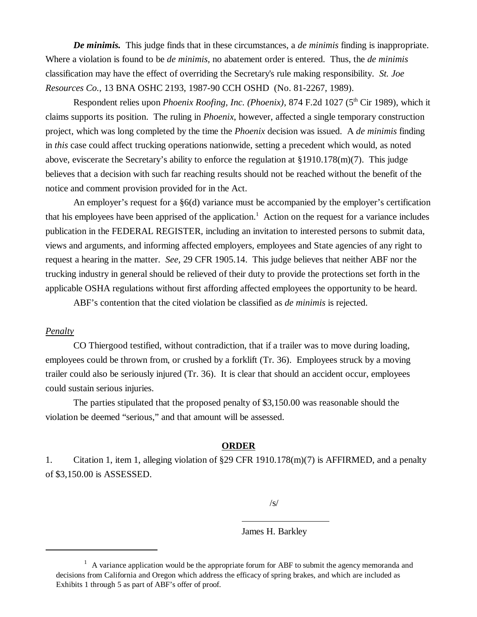*De minimis.* This judge finds that in these circumstances, a *de minimis* finding is inappropriate. Where a violation is found to be *de minimis,* no abatement order is entered. Thus, the *de minimis* classification may have the effect of overriding the Secretary's rule making responsibility. *St. Joe Resources Co.*, 13 BNA OSHC 2193, 1987-90 CCH OSHD (No. 81-2267, 1989).

Respondent relies upon *Phoenix Roofing, Inc. (Phoenix)*, 874 F.2d 1027 (5<sup>th</sup> Cir 1989), which it claims supports its position. The ruling in *Phoenix*, however, affected a single temporary construction project, which was long completed by the time the *Phoenix* decision was issued. A *de minimis* finding in *this* case could affect trucking operations nationwide, setting a precedent which would, as noted above, eviscerate the Secretary's ability to enforce the regulation at §1910.178(m)(7). This judge believes that a decision with such far reaching results should not be reached without the benefit of the notice and comment provision provided for in the Act.

An employer's request for a §6(d) variance must be accompanied by the employer's certification that his employees have been apprised of the application.<sup>1</sup> Action on the request for a variance includes publication in the FEDERAL REGISTER*,* including an invitation to interested persons to submit data, views and arguments, and informing affected employers, employees and State agencies of any right to request a hearing in the matter. *See,* 29 CFR 1905.14. This judge believes that neither ABF nor the trucking industry in general should be relieved of their duty to provide the protections set forth in the applicable OSHA regulations without first affording affected employees the opportunity to be heard.

ABF's contention that the cited violation be classified as *de minimis* is rejected.

### *Penalty*

CO Thiergood testified, without contradiction, that if a trailer was to move during loading, employees could be thrown from, or crushed by a forklift (Tr. 36). Employees struck by a moving trailer could also be seriously injured (Tr. 36). It is clear that should an accident occur, employees could sustain serious injuries.

The parties stipulated that the proposed penalty of \$3,150.00 was reasonable should the violation be deemed "serious," and that amount will be assessed.

### **ORDER**

1. Citation 1, item 1, alleging violation of §29 CFR 1910.178(m)(7) is AFFIRMED, and a penalty of \$3,150.00 is ASSESSED.

 $\overline{a}$ 

 $\sqrt{s}$ 

James H. Barkley

 $1$  A variance application would be the appropriate forum for ABF to submit the agency memoranda and decisions from California and Oregon which address the efficacy of spring brakes, and which are included as Exhibits 1 through 5 as part of ABF's offer of proof.